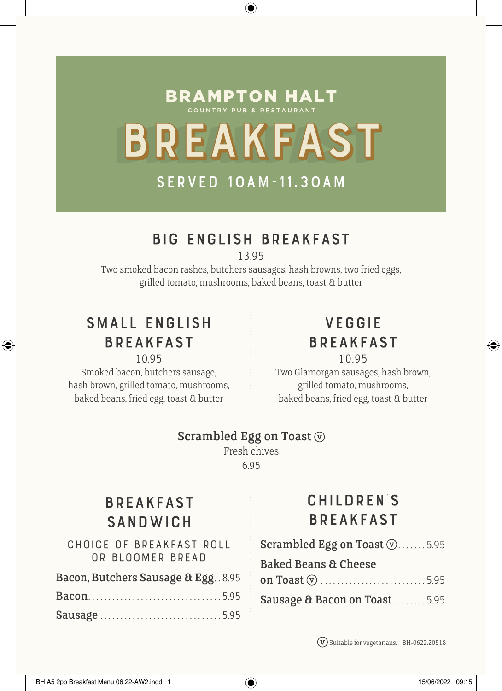# **BRAMPTON HALT** BREAKFAST

⊕

# served 10am-11.30am

## Big English Breakfast

13.95

Two smoked bacon rashes, butchers sausages, hash browns, two fried eggs, grilled tomato, mushrooms, baked beans, toast & butter

# Small English Breakfast

◈

10.95

Smoked bacon, butchers sausage, hash brown, grilled tomato, mushrooms, baked beans, fried egg, toast & butter

#### **VFGGIF** Breakfast 10.95

Two Glamorgan sausages, hash brown, grilled tomato, mushrooms, baked beans, fried egg, toast & butter

#### Scrambled Egg on Toast  $\circledcirc$

Fresh chives 6.95

# Breakfast **SANDWICH**

**CHOICE OF BREAKFAST ROLL OR BLOOMER BREAD**

| Bacon, Butchers Sausage & Egg. . 8.95 |  |
|---------------------------------------|--|
|                                       |  |
| Sausage5.95                           |  |

# Children's Breakfast

- Scrambled Egg on Toast  $\mathcal{D}$ .......5.95 Baked Beans & Cheese
- on Toast . . . . . . . . . . . . . . . . . . . . . . . . . . 5.95 Sausage & Bacon on Toast . . . . . . . 5.95

Suitable for vegetarians. BH-0622.20518

◈